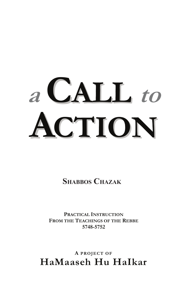# **a** CALL to **EXPITON**

**SHABBOS CHAZAK** 

PRACTICAL **INSTRUCTION FROM THE TEACHINGS OF THE REBBE** 5748-5752

**A PROJECT OF HaMaaseh Hu HaIkar**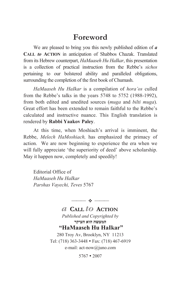### **Foreword**

We are pleased to bring you this newly published edition of *a* **CALL** *to* **ACTION** in anticipation of Shabbos Chazak. Translated from its Hebrew counterpart, *HaMaaseh Hu HaIkar*, this presentation is a collection of practical instruction from the Rebbe's *sichos*  pertaining to our bolstered ability and paralleled obligations, surrounding the completion of the first book of Chumash.

*HaMaaseh Hu HaIkar* is a compilation of *hora'os* culled from the Rebbe's talks in the years 5748 to 5752 (1988-1992), from both edited and unedited sources (*muga* and *bilti muga*). Great effort has been extended to remain faithful to the Rebbe's calculated and instructive nuance. This English translation is rendered by **Rabbi Yaakov Paley**.

At this time, when Moshiach's arrival is imminent, the Rebbe, *Melech HaMoshiach,* has emphasized the primacy of action. We are now beginning to experience the era when we will fully appreciate 'the superiority of deed' above scholarship. May it happen now, completely and speedily!

Editorial Office of *HaMaaseh Hu HaIkar Parshas Vayechi, Teves* 5767

> *a* **CALL** *to* **ACTION** *Published and Copyrighted by*  המעשה הוא העיקר  **"HaMaaseh Hu HaIkar"**  280 Troy Av, Brooklyn, NY 11213 Tel: (718) 363-3448 • Fax: (718) 467-6919 e-mail: act-now@juno.com

 $-$  0  $-$ 

 $5767 \cdot 2007$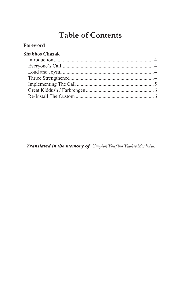## **Table of Contents**

#### **Foreword**

#### **Shabbos Chazak**

 *Translated in the memory of Yitzchok Yosef ben Yaakov Mordechai.*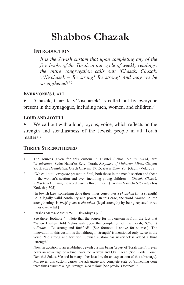# **Shabbos Chazak**

#### **INTRODUCTION**

*It is the Jewish custom that upon completing any of the five books of the Torah in our cycle of weekly readings, the entire congregation calls out: 'Chazak, Chazak, v'Nischazek – Be strong! Be strong! And may we be strengthened!'*<sup>1</sup>

#### **EVERYONE'S CALL**

x 'Chazak, Chazak, v'Nischazek' is called out by everyone present in the synagogue, including men, women, and children.2

#### **LOUD AND JOYFUL**

We call out with a loud, joyous, voice, which reflects on the strength and steadfastness of the Jewish people in all Torah matters.3

#### **THRICE STRENGTHENED** ----------------------

- 1. The sources given for this custom in Likutei Sichos, Vol.25 p.474, are: "*Avudraham*, Seder Hatza'os Sefer Torah; *Responsa of Maharam Mintz*, Chapter 85; *Aruch Hashulchan*, Orech Chayim, 39:15; *Keser Shem Tov* (Gagin) Vol.1, 38."
- 2. "We call out *everyone* present in Shul, both those in the men's section and those in the women's section and even including young children - *'Chazak, Chazak, v'Nischazek*', using the word *chazak* three times." (Parshas Vayechi 5752 – Sichos Kodesh p.505)

[In Jewish Law, something done three times constitutes a *chazakah* (lit. a strength) i.e. a legally valid continuity and power. In this case, the word *chazak* i.e. the strengthening, is *itself* given a *chazakah* (legal strength) by being repeated three times over – Ed.]

3. Parshas Matos-Masei 5751 – Hisvaduyos p.68.

 See there, footnote 4: "Note that the source for this custom is from the fact that "When Hashem told Yehoshuah upon the completion of the Torah, '*Chazak v'Ematz* – Be strong and fortified!' [See footnote 1 above for sources]. The innovation in this custom is that although 'strength' is mentioned only twice in the verse, 'Be strong and fortified', Jewish custom has nevertheless added a third 'strength'.

Now, in addition to an established Jewish custom being 'a part of Torah itself', it even bears an advantage of a kind, over the Written and Oral Torah (See Likutei Torah, Derushei Sukos, 80c and in many other location, for an explanation of this advantage). Moreover, this custom carries the advantage and complete state of 'something done three times assumes a legal strength, a *chazakah*' [See previous footnote]."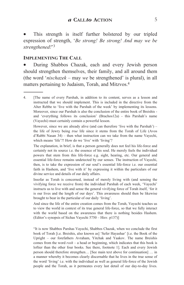This strength is itself further bolstered by our tripled expression of strength, '*Be strong! Be strong! And may we be strengthened!*'3

#### **IMPLEMENTING THE CALL**

----------------------

During Shabbos Chazak, each and every Jewish person should strengthen themselves, their family, and all around them (the word '*nischazek* – may *we* be strengthened' is plural), in all matters pertaining to Judaism, Torah, and Mitzvos.4

 However, since we are already alive (and can therefore 'live with the Parshah') – the life of Jewry being *true* life since it stems from the Torah of Life (Avos d'Rabbi Nasan 34) – then what instruction can we take from the name Vayechi, which means 'life'?! How do we 'live' with 'living'?

 The explanation, in brief, is that a person generally does not feel his life-force and certainly not its source i.e. the essence of his soul. He merely feels the individual powers that stem from this life-force e.g. sight, hearing, etc. Our general and essential life-force remains undetected by our senses. The instruction of Vayechi, then, is to take the expression of our soul's essential life-force i.e. our essential faith in Hashem, and 'live with it' by expressing it within the particulars of our divine service and details of our daily affairs.

Insofar as Torah is concerned, instead of merely living with (and sensing the vivifying force we receive from) the individual Parshah of each week, 'Vayechi' instructs us to live with and sense the general vivifying force of Torah itself, 'for it is our lives and the length of our days'. This awareness should then be likewise brought to bear in the particular of our daily 'living'.

And since the life of the entire creation comes from the Torah, Vayechi teaches us to view the world in context of its true general life-force, so that we fully interact with the world based on the awareness that there is nothing besides Hashem. (Editor's synopsis of Sichas Vayechi 5750 – Hisv. p137)]

"It is now Shabbos Parshas Vayechi, Shabbos Chazak, when we conclude the first book of Torah [i.e. Breishis, also known as] 'Sefer Hayashar' [i.e. the Book of the Upright – our forefathers Avraham, Yitchak and Yaakov. The name Breishis comes from the word *rosh* – a head or beginning, which indicates that this book is loftier than the other four books. See there, footnote 1]. Each and every Jewish person should therefore strengthen… [See main text above for continuation] … in a manner whereby it becomes clearly discernable that he lives in the true sense of the word 'living' i.e. with the individual as well as general life-force of the Jewish people and the Torah, as it permeates every last detail of our day-to-day lives.

<sup>4. [</sup>The name of every Parshah, in addition to its content, serves as a lesson and instructed that we should implement. This is included in the directive from the Alter Rebbe to 'live with the Parshah of the week' by implementing its lessons. Moreover, since our Parshah is also the conclusion of the entire book of Breishis and 'everything follows its conclusion' (Brachos12a) - this Parshah's name (Vayechi) must certainly contain a powerful lesson.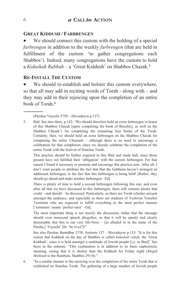#### **GREAT KIDDUSH / FARBRENGEN**

We should connect this custom with the holding of a special *farbrengen* in addition to the weekly *farbrengen* (that are held in fulfillment of the custom 'to gather congregations each Shabbos'). Indeed, many congregations have the custom to hold a *Kidushah Rabbah* – a 'Great Kiddush' on Shabbos Chazak.5

#### **RE-INSTALL THE CUSTOM**

----------------------

We should re-establish and bolster this custom everywhere, so that all may add in reciting words of Torah - along with – and they may add in their rejoicing upon the completion of an entire book of Torah. 6

(Parshas Vayechi 5750 – Hisvaduyos p.137)

5. Ibid. See also there, p.142: "We should therefore hold an extra farbrengen in honor of this Shabbos Chazak [upon completing the book of Breishis], as well on the Shabbos Chazak's for completing the remaining four books of the Torah. Certainly, then, we should hold an extra farbrengen on the Shabbos Chazak for completing the entire Chumash – although there is no need to encourage a celebration for that completion, since we already celebrate the completion of the entire Torah with the festival of Simchas Torah.

 This practice should be further required in this Shul and study hall, since those present have not fulfilled their 'obligation' with the current farbrengen. For that reason I found it necessary to promote and encourage this practice now. After all, I don't want people to attribute the fact that that the Gabbaim haven't arranged an additional farbrengen, to the fact that this farbrengen is being held! [Rather, they should go ahead and make another farbrengen –Ed]

 There is plenty of time to hold a second farbrengen following this one, and even after all that we have discussed in this farbrengen, there still remains plenty that could – and should – be discussed. Particularly, as there are Torah scholars present amongst the audience, and especially as there are students of Yeshivas Tomchei Temimim who are expected to fulfill everything in the most perfect manner ['temimim' means 'perfect ones' –Ed].

 The most important thing is not merely the discussion, rather that the message should even transcend speech altogether, so that it will be openly and clearly discernable that this is our very life-force – [as alluded to in the name of the Parsha,] 'Vayechi' [lit. 'he *lived*']!"

 See also Parshas Bamidbar 5750, footnote 137 – Hisvaduyos p.153: "It is for this reason that Kiddush on the day of Shabbos is called *kidushah rabah*, the 'Great Kiddush', since it is held amongst a multitude of Jewish people [i.e. in Shul]" See there in the subnote: "This explanation is in addition to its basic euphemistic meaning, seeing that it is shorter than the Kiddush for Friday night (*Magid Mishnah* to the Rambam, Shabbos 29:10)."

6. "In a similar manner to the rejoicing over the completion of the entire Torah that is celebrated on Simchas Torah. The gathering of a large number of Jewish people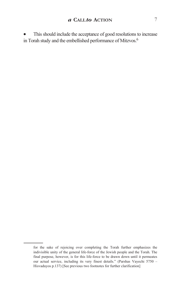This should include the acceptance of good resolutions to increase in Torah study and the embellished performance of Mitzvos.6

----------------------

for the sake of rejoicing over completing the Torah further emphasizes the indivisible unity of the general life-force of the Jewish people and the Torah. The final purpose, however, is for this life-force to be drawn down until it permeates our actual service, including its very finest details." (Parshas Vayechi 5750 – Hisvaduyos p.137) [See previous two footnotes for further clarification]